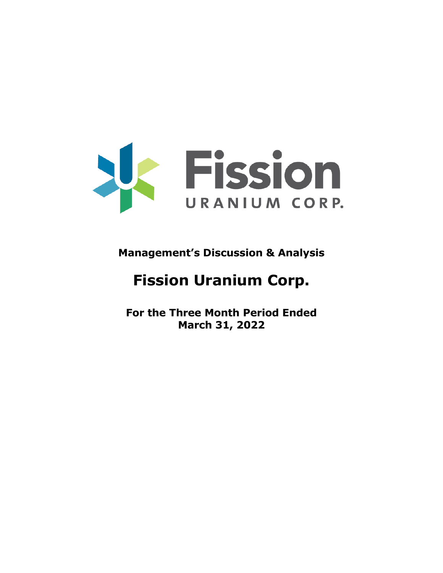

**Management's Discussion & Analysis**

# **Fission Uranium Corp.**

**For the Three Month Period Ended March 31, 2022**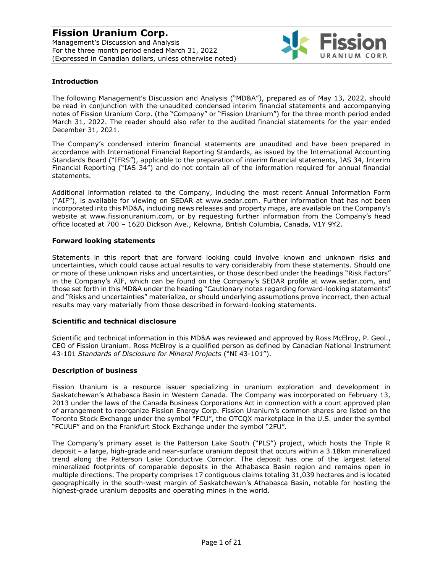

#### **Introduction**

The following Management's Discussion and Analysis ("MD&A"), prepared as of May 13, 2022, should be read in conjunction with the unaudited condensed interim financial statements and accompanying notes of Fission Uranium Corp. (the "Company" or "Fission Uranium") for the three month period ended March 31, 2022. The reader should also refer to the audited financial statements for the year ended December 31, 2021.

The Company's condensed interim financial statements are unaudited and have been prepared in accordance with International Financial Reporting Standards, as issued by the International Accounting Standards Board ("IFRS"), applicable to the preparation of interim financial statements, IAS 34, Interim Financial Reporting ("IAS 34") and do not contain all of the information required for annual financial statements.

Additional information related to the Company, including the most recent Annual Information Form ("AIF"), is available for viewing on SEDAR at www.sedar.com. Further information that has not been incorporated into this MD&A, including news releases and property maps, are available on the Company's website at www.fissionuranium.com, or by requesting further information from the Company's head office located at 700 – 1620 Dickson Ave., Kelowna, British Columbia, Canada, V1Y 9Y2.

#### **Forward looking statements**

Statements in this report that are forward looking could involve known and unknown risks and uncertainties, which could cause actual results to vary considerably from these statements. Should one or more of these unknown risks and uncertainties, or those described under the headings "Risk Factors" in the Company's AIF, which can be found on the Company's SEDAR profile at www.sedar.com, and those set forth in this MD&A under the heading "Cautionary notes regarding forward-looking statements" and "Risks and uncertainties" materialize, or should underlying assumptions prove incorrect, then actual results may vary materially from those described in forward-looking statements.

#### **Scientific and technical disclosure**

Scientific and technical information in this MD&A was reviewed and approved by Ross McElroy, P. Geol., CEO of Fission Uranium. Ross McElroy is a qualified person as defined by Canadian National Instrument 43-101 *Standards of Disclosure for Mineral Projects* ("NI 43-101").

#### **Description of business**

Fission Uranium is a resource issuer specializing in uranium exploration and development in Saskatchewan's Athabasca Basin in Western Canada. The Company was incorporated on February 13, 2013 under the laws of the Canada Business Corporations Act in connection with a court approved plan of arrangement to reorganize Fission Energy Corp. Fission Uranium's common shares are listed on the Toronto Stock Exchange under the symbol "FCU", the OTCQX marketplace in the U.S. under the symbol "FCUUF" and on the Frankfurt Stock Exchange under the symbol "2FU".

The Company's primary asset is the Patterson Lake South ("PLS") project, which hosts the Triple R deposit – a large, high-grade and near-surface uranium deposit that occurs within a 3.18km mineralized trend along the Patterson Lake Conductive Corridor. The deposit has one of the largest lateral mineralized footprints of comparable deposits in the Athabasca Basin region and remains open in multiple directions. The property comprises 17 contiguous claims totaling 31,039 hectares and is located geographically in the south-west margin of Saskatchewan's Athabasca Basin, notable for hosting the highest-grade uranium deposits and operating mines in the world.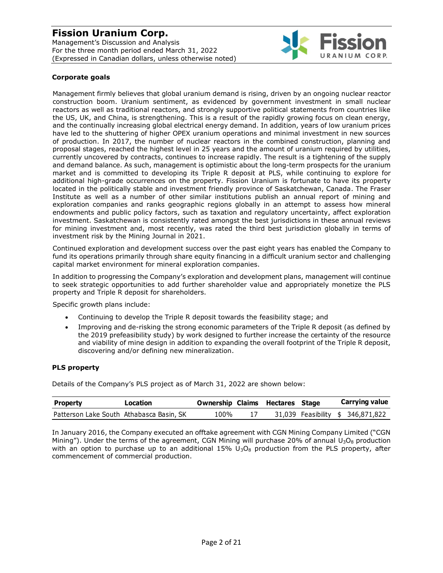Management's Discussion and Analysis For the three month period ended March 31, 2022 (Expressed in Canadian dollars, unless otherwise noted)



#### **Corporate goals**

Management firmly believes that global uranium demand is rising, driven by an ongoing nuclear reactor construction boom. Uranium sentiment, as evidenced by government investment in small nuclear reactors as well as traditional reactors, and strongly supportive political statements from countries like the US, UK, and China, is strengthening. This is a result of the rapidly growing focus on clean energy, and the continually increasing global electrical energy demand. In addition, years of low uranium prices have led to the shuttering of higher OPEX uranium operations and minimal investment in new sources of production. In 2017, the number of nuclear reactors in the combined construction, planning and proposal stages, reached the highest level in 25 years and the amount of uranium required by utilities, currently uncovered by contracts, continues to increase rapidly. The result is a tightening of the supply and demand balance. As such, management is optimistic about the long-term prospects for the uranium market and is committed to developing its Triple R deposit at PLS, while continuing to explore for additional high-grade occurrences on the property. Fission Uranium is fortunate to have its property located in the politically stable and investment friendly province of Saskatchewan, Canada. The Fraser Institute as well as a number of other similar institutions publish an annual report of mining and exploration companies and ranks geographic regions globally in an attempt to assess how mineral endowments and public policy factors, such as taxation and regulatory uncertainty, affect exploration investment. Saskatchewan is consistently rated amongst the best jurisdictions in these annual reviews for mining investment and, most recently, was rated the third best jurisdiction globally in terms of investment risk by the Mining Journal in 2021.

Continued exploration and development success over the past eight years has enabled the Company to fund its operations primarily through share equity financing in a difficult uranium sector and challenging capital market environment for mineral exploration companies.

In addition to progressing the Company's exploration and development plans, management will continue to seek strategic opportunities to add further shareholder value and appropriately monetize the PLS property and Triple R deposit for shareholders.

Specific growth plans include:

- Continuing to develop the Triple R deposit towards the feasibility stage; and
- Improving and de-risking the strong economic parameters of the Triple R deposit (as defined by the 2019 prefeasibility study) by work designed to further increase the certainty of the resource and viability of mine design in addition to expanding the overall footprint of the Triple R deposit, discovering and/or defining new mineralization.

#### **PLS property**

Details of the Company's PLS project as of March 31, 2022 are shown below:

| Property                                 | Location | <b>Ownership Claims Hectares Stage</b> |  | Carrying value                    |
|------------------------------------------|----------|----------------------------------------|--|-----------------------------------|
| Patterson Lake South Athabasca Basin, SK |          | 100%                                   |  | 31,039 Feasibility \$ 346,871,822 |

In January 2016, the Company executed an offtake agreement with CGN Mining Company Limited ("CGN Mining"). Under the terms of the agreement, CGN Mining will purchase 20% of annual  $U_3O_8$  production with an option to purchase up to an additional 15%  $U_3O_8$  production from the PLS property, after commencement of commercial production.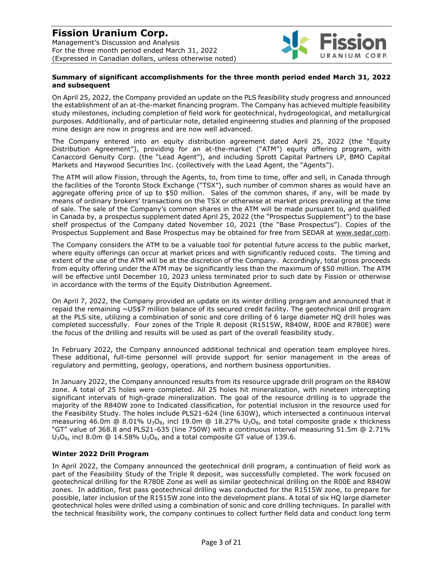Management's Discussion and Analysis For the three month period ended March 31, 2022 (Expressed in Canadian dollars, unless otherwise noted)



#### **Summary of significant accomplishments for the three month period ended March 31, 2022 and subsequent**

On April 25, 2022, the Company provided an update on the PLS feasibility study progress and announced the establishment of an at-the-market financing program. The Company has achieved multiple feasibility study milestones, including completion of field work for geotechnical, hydrogeological, and metallurgical purposes. Additionally, and of particular note, detailed engineering studies and planning of the proposed mine design are now in progress and are now well advanced.

The Company entered into an equity distribution agreement dated April 25, 2022 (the "Equity Distribution Agreement"), providing for an at-the-market ("ATM") equity offering program, with Canaccord Genuity Corp. (the "Lead Agent"), and including Sprott Capital Partners LP, BMO Capital Markets and Haywood Securities Inc. (collectively with the Lead Agent, the "Agents").

The ATM will allow Fission, through the Agents, to, from time to time, offer and sell, in Canada through the facilities of the Toronto Stock Exchange ("TSX"), such number of common shares as would have an aggregate offering price of up to \$50 million. Sales of the common shares, if any, will be made by means of ordinary brokers' transactions on the TSX or otherwise at market prices prevailing at the time of sale. The sale of the Company's common shares in the ATM will be made pursuant to, and qualified in Canada by, a prospectus supplement dated April 25, 2022 (the "Prospectus Supplement") to the base shelf prospectus of the Company dated November 10, 2021 (the "Base Prospectus"). Copies of the Prospectus Supplement and Base Prospectus may be obtained for free from SEDAR at [www.sedar.com.](http://www.sedar.com/)

The Company considers the ATM to be a valuable tool for potential future access to the public market, where equity offerings can occur at market prices and with significantly reduced costs. The timing and extent of the use of the ATM will be at the discretion of the Company. Accordingly, total gross proceeds from equity offering under the ATM may be significantly less than the maximum of \$50 million. The ATM will be effective until December 10, 2023 unless terminated prior to such date by Fission or otherwise in accordance with the terms of the Equity Distribution Agreement.

On April 7, 2022, the Company provided an update on its winter drilling program and announced that it repaid the remaining ~US\$7 million balance of its secured credit facility. The geotechnical drill program at the PLS site, utilizing a combination of sonic and core drilling of 6 large diameter HQ drill holes was completed successfully. Four zones of the Triple R deposit (R1515W, R840W, R00E and R780E) were the focus of the drilling and results will be used as part of the overall feasibility study.

In February 2022, the Company announced additional technical and operation team employee hires. These additional, full-time personnel will provide support for senior management in the areas of regulatory and permitting, geology, operations, and northern business opportunities.

In January 2022, the Company announced results from its resource upgrade drill program on the R840W zone. A total of 25 holes were completed. All 25 holes hit mineralization, with nineteen intercepting significant intervals of high-grade mineralization. The goal of the resource drilling is to upgrade the majority of the R840W zone to Indicated classification, for potential inclusion in the resource used for the Feasibility Study. The holes include PLS21-624 (line 630W), which intersected a continuous interval measuring 46.0m  $\textcircled{a}$  8.01%  $\text{U}_3\text{O}_8$ , incl 19.0m  $\textcircled{a}$  18.27%  $\text{U}_3\text{O}_8$ , and total composite grade x thickness "GT" value of 368.8 and PLS21-635 (line 750W) with a continuous interval measuring 51.5m @ 2.71%  $U_3O_8$ , incl 8.0m @ 14.58%  $U_3O_8$ , and a total composite GT value of 139.6.

#### **Winter 2022 Drill Program**

In April 2022, the Company announced the geotechnical drill program, a continuation of field work as part of the Feasibility Study of the Triple R deposit, was successfully completed. The work focused on geotechnical drilling for the R780E Zone as well as similar geotechnical drilling on the R00E and R840W zones. In addition, first pass geotechnical drilling was conducted for the R1515W zone, to prepare for possible, later inclusion of the R1515W zone into the development plans. A total of six HQ large diameter geotechnical holes were drilled using a combination of sonic and core drilling techniques. In parallel with the technical feasibility work, the company continues to collect further field data and conduct long term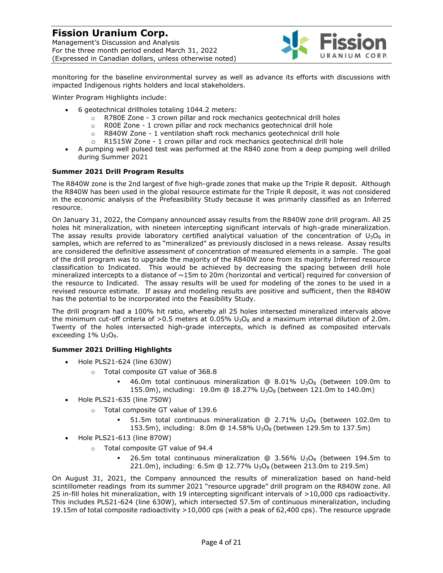#### **Fission Uranium Corp.** Management's Discussion and Analysis For the three month period ended March 31, 2022 (Expressed in Canadian dollars, unless otherwise noted)



monitoring for the baseline environmental survey as well as advance its efforts with discussions with impacted Indigenous rights holders and local stakeholders.

Winter Program Highlights include:

- 6 geotechnical drillholes totaling 1044.2 meters:
	- o R780E Zone 3 crown pillar and rock mechanics geotechnical drill holes
	- o R00E Zone 1 crown pillar and rock mechanics geotechnical drill hole
	- o R840W Zone 1 ventilation shaft rock mechanics geotechnical drill hole
	- $\circ$  R1515W Zone 1 crown pillar and rock mechanics geotechnical drill hole
- A pumping well pulsed test was performed at the R840 zone from a deep pumping well drilled during Summer 2021

#### **Summer 2021 Drill Program Results**

The R840W zone is the 2nd largest of five high-grade zones that make up the Triple R deposit. Although the R840W has been used in the global resource estimate for the Triple R deposit, it was not considered in the economic analysis of the Prefeasibility Study because it was primarily classified as an Inferred resource.

On January 31, 2022, the Company announced assay results from the R840W zone drill program. All 25 holes hit mineralization, with nineteen intercepting significant intervals of high-grade mineralization. The assay results provide laboratory certified analytical valuation of the concentration of  $U_3O_8$  in samples, which are referred to as "mineralized" as previously disclosed in a news release. Assay results are considered the definitive assessment of concentration of measured elements in a sample. The goal of the drill program was to upgrade the majority of the R840W zone from its majority Inferred resource classification to Indicated. This would be achieved by decreasing the spacing between drill hole mineralized intercepts to a distance of  $\sim$ 15m to 20m (horizontal and vertical) required for conversion of the resource to Indicated. The assay results will be used for modeling of the zones to be used in a revised resource estimate. If assay and modeling results are positive and sufficient, then the R840W has the potential to be incorporated into the Feasibility Study.

The drill program had a 100% hit ratio, whereby all 25 holes intersected mineralized intervals above the minimum cut-off criteria of >0.5 meters at 0.05%  $\bigcup_{3}O_8$  and a maximum internal dilution of 2.0m. Twenty of the holes intersected high-grade intercepts, which is defined as composited intervals exceeding  $1\%$  U<sub>3</sub>O<sub>8</sub>.

#### **Summer 2021 Drilling Highlights**

- Hole PLS21-624 (line 630W)
	- o Total composite GT value of 368.8
		- 46.0m total continuous mineralization  $\textcircled{e}$  8.01% U<sub>3</sub>O<sub>8</sub> (between 109.0m to 155.0m), including: 19.0m @ 18.27% U3O8 (between 121.0m to 140.0m)
- Hole PLS21-635 (line 750W)
	- o Total composite GT value of 139.6
		- 51.5m total continuous mineralization  $\textcircled{a}$  2.71% U<sub>3</sub>O<sub>8</sub> (between 102.0m to 153.5m), including: 8.0m @ 14.58%  $U_3O_8$  (between 129.5m to 137.5m)
- Hole PLS21-613 (line 870W)
	- o Total composite GT value of 94.4
		- 26.5m total continuous mineralization  $@3.56\%$  U<sub>3</sub>O<sub>8</sub> (between 194.5m to 221.0m), including: 6.5m @ 12.77% U3O8 (between 213.0m to 219.5m)

On August 31, 2021, the Company announced the results of mineralization based on hand-held scintillometer readings from its summer 2021 "resource upgrade" drill program on the R840W zone. All 25 in-fill holes hit mineralization, with 19 intercepting significant intervals of >10,000 cps radioactivity. This includes PLS21-624 (line 630W), which intersected 57.5m of continuous mineralization, including 19.15m of total composite radioactivity >10,000 cps (with a peak of 62,400 cps). The resource upgrade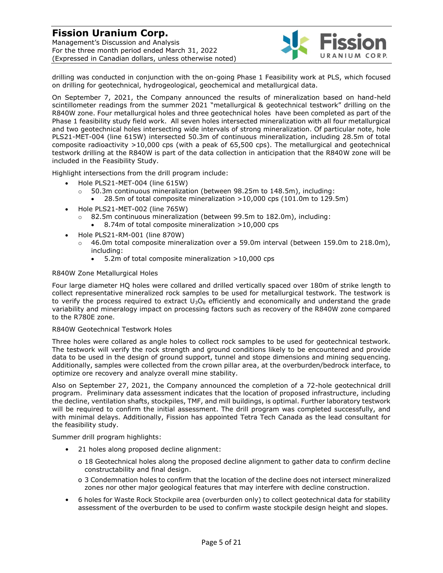Management's Discussion and Analysis For the three month period ended March 31, 2022 (Expressed in Canadian dollars, unless otherwise noted)



drilling was conducted in conjunction with the on-going Phase 1 Feasibility work at PLS, which focused on drilling for geotechnical, hydrogeological, geochemical and metallurgical data.

On September 7, 2021, the Company announced the results of mineralization based on hand-held scintillometer readings from the summer 2021 "metallurgical & geotechnical testwork" drilling on the R840W zone. Four metallurgical holes and three geotechnical holes have been completed as part of the Phase 1 feasibility study field work. All seven holes intersected mineralization with all four metallurgical and two geotechnical holes intersecting wide intervals of strong mineralization. Of particular note, hole PLS21-MET-004 (line 615W) intersected 50.3m of continuous mineralization, including 28.5m of total composite radioactivity >10,000 cps (with a peak of 65,500 cps). The metallurgical and geotechnical testwork drilling at the R840W is part of the data collection in anticipation that the R840W zone will be included in the Feasibility Study.

Highlight intersections from the drill program include:

- Hole PLS21-MET-004 (line 615W)
	- $\circ$  50.3m continuous mineralization (between 98.25m to 148.5m), including:
		- 28.5m of total composite mineralization >10,000 cps (101.0m to 129.5m)
- Hole PLS21-MET-002 (line 765W)
	- $\circ$  82.5m continuous mineralization (between 99.5m to 182.0m), including: • 8.74m of total composite mineralization >10,000 cps
- Hole PLS21-RM-001 (line 870W)
	- $\circ$  46.0m total composite mineralization over a 59.0m interval (between 159.0m to 218.0m), including:
		- 5.2m of total composite mineralization >10,000 cps

#### R840W Zone Metallurgical Holes

Four large diameter HQ holes were collared and drilled vertically spaced over 180m of strike length to collect representative mineralized rock samples to be used for metallurgical testwork. The testwork is to verify the process required to extract  $U_3O_8$  efficiently and economically and understand the grade variability and mineralogy impact on processing factors such as recovery of the R840W zone compared to the R780E zone.

#### R840W Geotechnical Testwork Holes

Three holes were collared as angle holes to collect rock samples to be used for geotechnical testwork. The testwork will verify the rock strength and ground conditions likely to be encountered and provide data to be used in the design of ground support, tunnel and stope dimensions and mining sequencing. Additionally, samples were collected from the crown pillar area, at the overburden/bedrock interface, to optimize ore recovery and analyze overall mine stability.

Also on September 27, 2021, the Company announced the completion of a 72-hole geotechnical drill program. Preliminary data assessment indicates that the location of proposed infrastructure, including the decline, ventilation shafts, stockpiles, TMF, and mill buildings, is optimal. Further laboratory testwork will be required to confirm the initial assessment. The drill program was completed successfully, and with minimal delays. Additionally, Fission has appointed Tetra Tech Canada as the lead consultant for the feasibility study.

Summer drill program highlights:

- 21 holes along proposed decline alignment:
	- o 18 Geotechnical holes along the proposed decline alignment to gather data to confirm decline constructability and final design.
	- o 3 Condemnation holes to confirm that the location of the decline does not intersect mineralized zones nor other major geological features that may interfere with decline construction.
- 6 holes for Waste Rock Stockpile area (overburden only) to collect geotechnical data for stability assessment of the overburden to be used to confirm waste stockpile design height and slopes.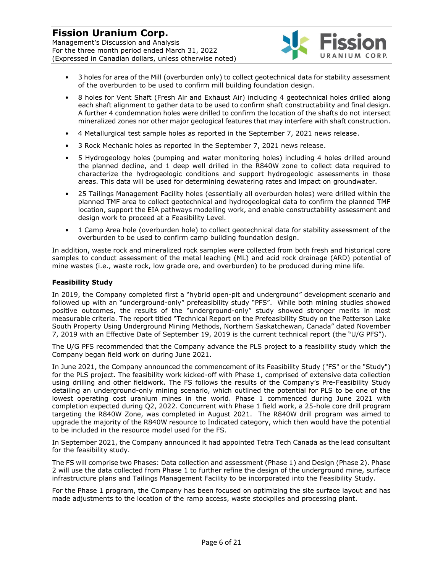Management's Discussion and Analysis For the three month period ended March 31, 2022 (Expressed in Canadian dollars, unless otherwise noted)



- 3 holes for area of the Mill (overburden only) to collect geotechnical data for stability assessment of the overburden to be used to confirm mill building foundation design.
- 8 holes for Vent Shaft (Fresh Air and Exhaust Air) including 4 geotechnical holes drilled along each shaft alignment to gather data to be used to confirm shaft constructability and final design. A further 4 condemnation holes were drilled to confirm the location of the shafts do not intersect mineralized zones nor other major geological features that may interfere with shaft construction.
- 4 Metallurgical test sample holes as reported in the September 7, 2021 news release.
- 3 Rock Mechanic holes as reported in the September 7, 2021 news release.
- 5 Hydrogeology holes (pumping and water monitoring holes) including 4 holes drilled around the planned decline, and 1 deep well drilled in the R840W zone to collect data required to characterize the hydrogeologic conditions and support hydrogeologic assessments in those areas. This data will be used for determining dewatering rates and impact on groundwater.
- 25 Tailings Management Facility holes (essentially all overburden holes) were drilled within the planned TMF area to collect geotechnical and hydrogeological data to confirm the planned TMF location, support the EIA pathways modelling work, and enable constructability assessment and design work to proceed at a Feasibility Level.
- 1 Camp Area hole (overburden hole) to collect geotechnical data for stability assessment of the overburden to be used to confirm camp building foundation design.

In addition, waste rock and mineralized rock samples were collected from both fresh and historical core samples to conduct assessment of the metal leaching (ML) and acid rock drainage (ARD) potential of mine wastes (i.e., waste rock, low grade ore, and overburden) to be produced during mine life.

#### **Feasibility Study**

In 2019, the Company completed first a "hybrid open-pit and underground" development scenario and followed up with an "underground-only" prefeasibility study "PFS". While both mining studies showed positive outcomes, the results of the "underground-only" study showed stronger merits in most measurable criteria. The report titled "Technical Report on the Prefeasibility Study on the Patterson Lake South Property Using Underground Mining Methods, Northern Saskatchewan, Canada" dated November 7, 2019 with an Effective Date of September 19, 2019 is the current technical report (the "U/G PFS").

The U/G PFS recommended that the Company advance the PLS project to a feasibility study which the Company began field work on during June 2021.

In June 2021, the Company announced the commencement of its Feasibility Study ("FS" or the "Study") for the PLS project. The feasibility work kicked-off with Phase 1, comprised of extensive data collection using drilling and other fieldwork. The FS follows the results of the Company's Pre-Feasibility Study detailing an underground-only mining scenario, which outlined the potential for PLS to be one of the lowest operating cost uranium mines in the world. Phase 1 commenced during June 2021 with completion expected during Q2, 2022. Concurrent with Phase 1 field work, a 25-hole core drill program targeting the R840W Zone, was completed in August 2021. The R840W drill program was aimed to upgrade the majority of the R840W resource to Indicated category, which then would have the potential to be included in the resource model used for the FS.

In September 2021, the Company announced it had appointed Tetra Tech Canada as the lead consultant for the feasibility study.

The FS will comprise two Phases: Data collection and assessment (Phase 1) and Design (Phase 2). Phase 2 will use the data collected from Phase 1 to further refine the design of the underground mine, surface infrastructure plans and Tailings Management Facility to be incorporated into the Feasibility Study.

For the Phase 1 program, the Company has been focused on optimizing the site surface layout and has made adjustments to the location of the ramp access, waste stockpiles and processing plant.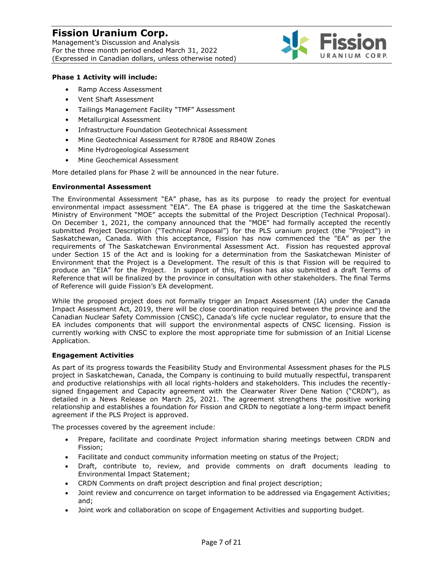Management's Discussion and Analysis For the three month period ended March 31, 2022 (Expressed in Canadian dollars, unless otherwise noted)



#### **Phase 1 Activity will include:**

- Ramp Access Assessment
- Vent Shaft Assessment
- Tailings Management Facility "TMF" Assessment
- Metallurgical Assessment
- Infrastructure Foundation Geotechnical Assessment
- Mine Geotechnical Assessment for R780E and R840W Zones
- Mine Hydrogeological Assessment
- Mine Geochemical Assessment

More detailed plans for Phase 2 will be announced in the near future.

#### **Environmental Assessment**

The Environmental Assessment "EA" phase, has as its purpose to ready the project for eventual environmental impact assessment "EIA". The EA phase is triggered at the time the Saskatchewan Ministry of Environment "MOE" accepts the submittal of the Project Description (Technical Proposal). On December 1, 2021, the company announced that the "MOE" had formally accepted the recently submitted Project Description ("Technical Proposal") for the PLS uranium project (the "Project") in Saskatchewan, Canada. With this acceptance, Fission has now commenced the "EA" as per the requirements of The Saskatchewan Environmental Assessment Act. Fission has requested approval under Section 15 of the Act and is looking for a determination from the Saskatchewan Minister of Environment that the Project is a Development. The result of this is that Fission will be required to produce an "EIA" for the Project. In support of this, Fission has also submitted a draft Terms of Reference that will be finalized by the province in consultation with other stakeholders. The final Terms of Reference will guide Fission's EA development.

While the proposed project does not formally trigger an Impact Assessment (IA) under the Canada Impact Assessment Act, 2019, there will be close coordination required between the province and the Canadian Nuclear Safety Commission (CNSC), Canada's life cycle nuclear regulator, to ensure that the EA includes components that will support the environmental aspects of CNSC licensing. Fission is currently working with CNSC to explore the most appropriate time for submission of an Initial License Application.

#### **Engagement Activities**

As part of its progress towards the Feasibility Study and Environmental Assessment phases for the PLS project in Saskatchewan, Canada, the Company is continuing to build mutually respectful, transparent and productive relationships with all local rights-holders and stakeholders. This includes the recentlysigned Engagement and Capacity agreement with the Clearwater River Dene Nation ("CRDN"), as detailed in a News Release on March 25, 2021. The agreement strengthens the positive working relationship and establishes a foundation for Fission and CRDN to negotiate a long-term impact benefit agreement if the PLS Project is approved.

The processes covered by the agreement include:

- Prepare, facilitate and coordinate Project information sharing meetings between CRDN and Fission;
- Facilitate and conduct community information meeting on status of the Project;
- Draft, contribute to, review, and provide comments on draft documents leading to Environmental Impact Statement;
- CRDN Comments on draft project description and final project description;
- Joint review and concurrence on target information to be addressed via Engagement Activities; and;
- Joint work and collaboration on scope of Engagement Activities and supporting budget.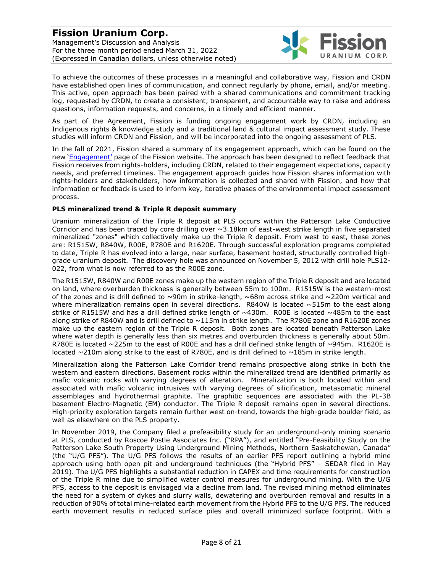

To achieve the outcomes of these processes in a meaningful and collaborative way, Fission and CRDN have established open lines of communication, and connect regularly by phone, email, and/or meeting. This active, open approach has been paired with a shared communications and commitment tracking log, requested by CRDN, to create a consistent, transparent, and accountable way to raise and address questions, information requests, and concerns, in a timely and efficient manner.

As part of the Agreement, Fission is funding ongoing engagement work by CRDN, including an Indigenous rights & knowledge study and a traditional land & cultural impact assessment study. These studies will inform CRDN and Fission, and will be incorporated into the ongoing assessment of PLS.

In the fall of 2021, Fission shared a summary of its engagement approach, which can be found on the new '[Engagement](https://fissionuranium.com/esg/environmental/engagement/)' page of the Fission website. The approach has been designed to reflect feedback that Fission receives from rights-holders, including CRDN, related to their engagement expectations, capacity needs, and preferred timelines. The engagement approach guides how Fission shares information with rights-holders and stakeholders, how information is collected and shared with Fission, and how that information or feedback is used to inform key, iterative phases of the environmental impact assessment process.

#### **PLS mineralized trend & Triple R deposit summary**

Uranium mineralization of the Triple R deposit at PLS occurs within the Patterson Lake Conductive Corridor and has been traced by core drilling over  $\sim 3.18$ km of east-west strike length in five separated mineralized "zones" which collectively make up the Triple R deposit. From west to east, these zones are: R1515W, R840W, R00E, R780E and R1620E. Through successful exploration programs completed to date, Triple R has evolved into a large, near surface, basement hosted, structurally controlled highgrade uranium deposit. The discovery hole was announced on November 5, 2012 with drill hole PLS12- 022, from what is now referred to as the R00E zone.

The R1515W, R840W and R00E zones make up the western region of the Triple R deposit and are located on land, where overburden thickness is generally between 55m to 100m. R1515W is the western-most of the zones and is drill defined to  $\sim$ 90m in strike-length,  $\sim$ 68m across strike and  $\sim$ 220m vertical and where mineralization remains open in several directions. R840W is located ~515m to the east along strike of R1515W and has a drill defined strike length of  $\sim$ 430m. R00E is located  $\sim$ 485m to the east along strike of R840W and is drill defined to ~115m in strike length. The R780E zone and R1620E zones make up the eastern region of the Triple R deposit. Both zones are located beneath Patterson Lake where water depth is generally less than six metres and overburden thickness is generally about 50m. R780E is located ~225m to the east of R00E and has a drill defined strike length of ~945m. R1620E is located ~210m along strike to the east of R780E, and is drill defined to ~185m in strike length.

Mineralization along the Patterson Lake Corridor trend remains prospective along strike in both the western and eastern directions. Basement rocks within the mineralized trend are identified primarily as mafic volcanic rocks with varying degrees of alteration. Mineralization is both located within and associated with mafic volcanic intrusives with varying degrees of silicification, metasomatic mineral assemblages and hydrothermal graphite. The graphitic sequences are associated with the PL-3B basement Electro-Magnetic (EM) conductor. The Triple R deposit remains open in several directions. High-priority exploration targets remain further west on-trend, towards the high-grade boulder field, as well as elsewhere on the PLS property.

In November 2019, the Company filed a prefeasibility study for an underground-only mining scenario at PLS, conducted by Roscoe Postle Associates Inc. ("RPA"), and entitled "Pre-Feasibility Study on the Patterson Lake South Property Using Underground Mining Methods, Northern Saskatchewan, Canada" (the "U/G PFS"). The U/G PFS follows the results of an earlier PFS report outlining a hybrid mine approach using both open pit and underground techniques (the "Hybrid PFS" – SEDAR filed in May 2019). The U/G PFS highlights a substantial reduction in CAPEX and time requirements for construction of the Triple R mine due to simplified water control measures for underground mining. With the U/G PFS, access to the deposit is envisaged via a decline from land. The revised mining method eliminates the need for a system of dykes and slurry walls, dewatering and overburden removal and results in a reduction of 90% of total mine-related earth movement from the Hybrid PFS to the U/G PFS. The reduced earth movement results in reduced surface piles and overall minimized surface footprint. With a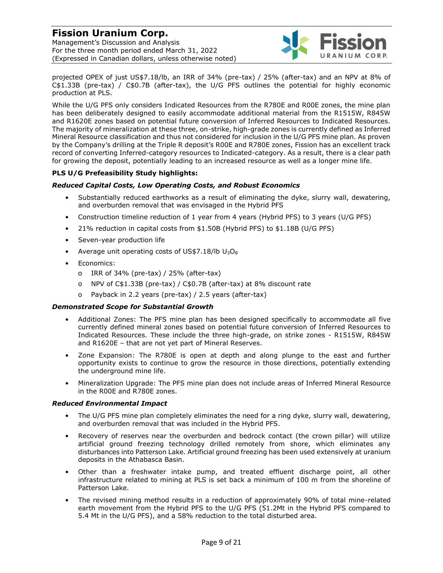Management's Discussion and Analysis For the three month period ended March 31, 2022 (Expressed in Canadian dollars, unless otherwise noted)



projected OPEX of just US\$7.18/lb, an IRR of 34% (pre-tax) / 25% (after-tax) and an NPV at 8% of C\$1.33B (pre-tax) / C\$0.7B (after-tax), the U/G PFS outlines the potential for highly economic production at PLS.

While the U/G PFS only considers Indicated Resources from the R780E and R00E zones, the mine plan has been deliberately designed to easily accommodate additional material from the R1515W, R845W and R1620E zones based on potential future conversion of Inferred Resources to Indicated Resources. The majority of mineralization at these three, on-strike, high-grade zones is currently defined as Inferred Mineral Resource classification and thus not considered for inclusion in the U/G PFS mine plan. As proven by the Company's drilling at the Triple R deposit's R00E and R780E zones, Fission has an excellent track record of converting Inferred-category resources to Indicated-category. As a result, there is a clear path for growing the deposit, potentially leading to an increased resource as well as a longer mine life.

#### **PLS U/G Prefeasibility Study highlights:**

#### *Reduced Capital Costs, Low Operating Costs, and Robust Economics*

- Substantially reduced earthworks as a result of eliminating the dyke, slurry wall, dewatering, and overburden removal that was envisaged in the Hybrid PFS
- Construction timeline reduction of 1 year from 4 years (Hybrid PFS) to 3 years (U/G PFS)
- 21% reduction in capital costs from \$1.50B (Hybrid PFS) to \$1.18B (U/G PFS)
- Seven-year production life
- Average unit operating costs of US\$7.18/lb  $U_3O_8$
- Economics:
	- o IRR of 34% (pre-tax) / 25% (after-tax)
	- o NPV of C\$1.33B (pre-tax) / C\$0.7B (after-tax) at 8% discount rate
	- o Payback in 2.2 years (pre-tax) / 2.5 years (after-tax)

#### *Demonstrated Scope for Substantial Growth*

- Additional Zones: The PFS mine plan has been designed specifically to accommodate all five currently defined mineral zones based on potential future conversion of Inferred Resources to Indicated Resources. These include the three high-grade, on strike zones - R1515W, R845W and R1620E – that are not yet part of Mineral Reserves.
- Zone Expansion: The R780E is open at depth and along plunge to the east and further opportunity exists to continue to grow the resource in those directions, potentially extending the underground mine life.
- Mineralization Upgrade: The PFS mine plan does not include areas of Inferred Mineral Resource in the R00E and R780E zones.

#### *Reduced Environmental Impact*

- The U/G PFS mine plan completely eliminates the need for a ring dyke, slurry wall, dewatering, and overburden removal that was included in the Hybrid PFS.
- Recovery of reserves near the overburden and bedrock contact (the crown pillar) will utilize artificial ground freezing technology drilled remotely from shore, which eliminates any disturbances into Patterson Lake. Artificial ground freezing has been used extensively at uranium deposits in the Athabasca Basin.
- Other than a freshwater intake pump, and treated effluent discharge point, all other infrastructure related to mining at PLS is set back a minimum of 100 m from the shoreline of Patterson Lake.
- The revised mining method results in a reduction of approximately 90% of total mine-related earth movement from the Hybrid PFS to the U/G PFS (51.2Mt in the Hybrid PFS compared to 5.4 Mt in the U/G PFS), and a 58% reduction to the total disturbed area.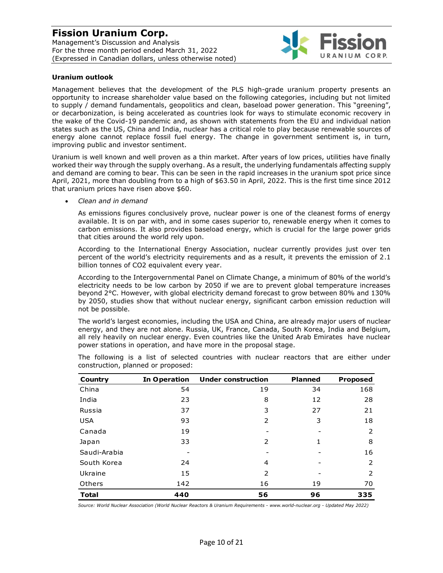Management's Discussion and Analysis For the three month period ended March 31, 2022 (Expressed in Canadian dollars, unless otherwise noted)



#### **Uranium outlook**

Management believes that the development of the PLS high-grade uranium property presents an opportunity to increase shareholder value based on the following categories, including but not limited to supply / demand fundamentals, geopolitics and clean, baseload power generation. This "greening", or decarbonization, is being accelerated as countries look for ways to stimulate economic recovery in the wake of the Covid-19 pandemic and, as shown with statements from the EU and individual nation states such as the US, China and India, nuclear has a critical role to play because renewable sources of energy alone cannot replace fossil fuel energy. The change in government sentiment is, in turn, improving public and investor sentiment.

Uranium is well known and well proven as a thin market. After years of low prices, utilities have finally worked their way through the supply overhang. As a result, the underlying fundamentals affecting supply and demand are coming to bear. This can be seen in the rapid increases in the uranium spot price since April, 2021, more than doubling from to a high of \$63.50 in April, 2022. This is the first time since 2012 that uranium prices have risen above \$60.

• *Clean and in demand* 

As emissions figures conclusively prove, nuclear power is one of the cleanest forms of energy available. It is on par with, and in some cases superior to, renewable energy when it comes to carbon emissions. It also provides baseload energy, which is crucial for the large power grids that cities around the world rely upon.

According to the International Energy Association, nuclear currently provides just over ten percent of the world's electricity requirements and as a result, it prevents the emission of 2.1 billion tonnes of CO2 equivalent every year.

According to the Intergovernmental Panel on Climate Change, a minimum of 80% of the world's electricity needs to be low carbon by 2050 if we are to prevent global temperature increases beyond 2°C. However, with global electricity demand forecast to grow between 80% and 130% by 2050, studies show that without nuclear energy, significant carbon emission reduction will not be possible.

The world's largest economies, including the USA and China, are already major users of nuclear energy, and they are not alone. Russia, UK, France, Canada, South Korea, India and Belgium, all rely heavily on nuclear energy. Even countries like the United Arab Emirates have nuclear power stations in operation, and have more in the proposal stage.

| Country      | In Operation | <b>Under construction</b> | <b>Planned</b> | <b>Proposed</b> |
|--------------|--------------|---------------------------|----------------|-----------------|
| China        | 54           | 19                        | 34             | 168             |
| India        | 23           | 8                         | 12             | 28              |
| Russia       | 37           | 3                         | 27             | 21              |
| <b>USA</b>   | 93           | 2                         | 3              | 18              |
| Canada       | 19           |                           |                | $\mathcal{P}$   |
| Japan        | 33           | $\mathcal{P}$             | 1              | 8               |
| Saudi-Arabia |              |                           |                | 16              |
| South Korea  | 24           | 4                         |                | 2               |
| Ukraine      | 15           | 2                         |                | 2               |
| Others       | 142          | 16                        | 19             | 70              |
| <b>Total</b> | 440          | 56                        | 96             | 335             |

The following is a list of selected countries with nuclear reactors that are either under construction, planned or proposed:

*Source: World Nuclear Association (World Nuclear Reactors & Uranium Requirements - www.world-nuclear.org - Updated May 2022)*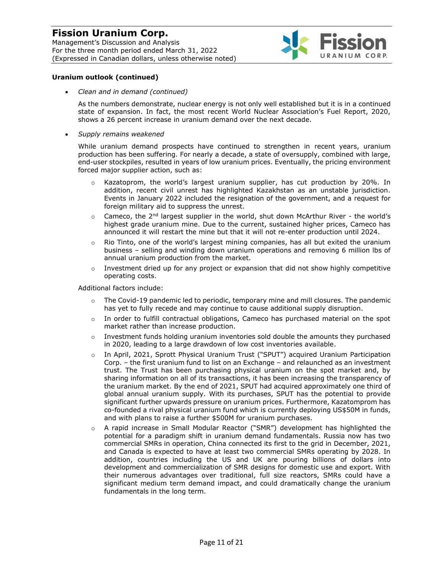Management's Discussion and Analysis For the three month period ended March 31, 2022 (Expressed in Canadian dollars, unless otherwise noted)



#### **Uranium outlook (continued)**

• *Clean and in demand (continued)*

As the numbers demonstrate, nuclear energy is not only well established but it is in a continued state of expansion. In fact, the most recent World Nuclear Association's Fuel Report, 2020, shows a 26 percent increase in uranium demand over the next decade.

• *Supply remains weakened*

While uranium demand prospects have continued to strengthen in recent years, uranium production has been suffering. For nearly a decade, a state of oversupply, combined with large, end-user stockpiles, resulted in years of low uranium prices. Eventually, the pricing environment forced major supplier action, such as:

- $\circ$  Kazatoprom, the world's largest uranium supplier, has cut production by 20%. In addition, recent civil unrest has highlighted Kazakhstan as an unstable jurisdiction. Events in January 2022 included the resignation of the government, and a request for foreign military aid to suppress the unrest.
- $\circ$  Cameco, the 2<sup>nd</sup> largest supplier in the world, shut down McArthur River the world's highest grade uranium mine. Due to the current, sustained higher prices, Cameco has announced it will restart the mine but that it will not re-enter production until 2024.
- $\circ$  Rio Tinto, one of the world's largest mining companies, has all but exited the uranium business – selling and winding down uranium operations and removing 6 million lbs of annual uranium production from the market.
- o Investment dried up for any project or expansion that did not show highly competitive operating costs.

Additional factors include:

- $\circ$  The Covid-19 pandemic led to periodic, temporary mine and mill closures. The pandemic has yet to fully recede and may continue to cause additional supply disruption.
- o In order to fulfill contractual obligations, Cameco has purchased material on the spot market rather than increase production.
- $\circ$  Investment funds holding uranium inventories sold double the amounts they purchased in 2020, leading to a large drawdown of low cost inventories available.
- o In April, 2021, Sprott Physical Uranium Trust ("SPUT") acquired Uranium Participation Corp. – the first uranium fund to list on an Exchange – and relaunched as an investment trust. The Trust has been purchasing physical uranium on the spot market and, by sharing information on all of its transactions, it has been increasing the transparency of the uranium market. By the end of 2021, SPUT had acquired approximately one third of global annual uranium supply. With its purchases, SPUT has the potential to provide significant further upwards pressure on uranium prices. Furthermore, Kazatomprom has co-founded a rival physical uranium fund which is currently deploying US\$50M in funds, and with plans to raise a further \$500M for uranium purchases.
- o A rapid increase in Small Modular Reactor ("SMR") development has highlighted the potential for a paradigm shift in uranium demand fundamentals. Russia now has two commercial SMRs in operation, China connected its first to the grid in December, 2021, and Canada is expected to have at least two commercial SMRs operating by 2028. In addition, countries including the US and UK are pouring billions of dollars into development and commercialization of SMR designs for domestic use and export. With their numerous advantages over traditional, full size reactors, SMRs could have a significant medium term demand impact, and could dramatically change the uranium fundamentals in the long term.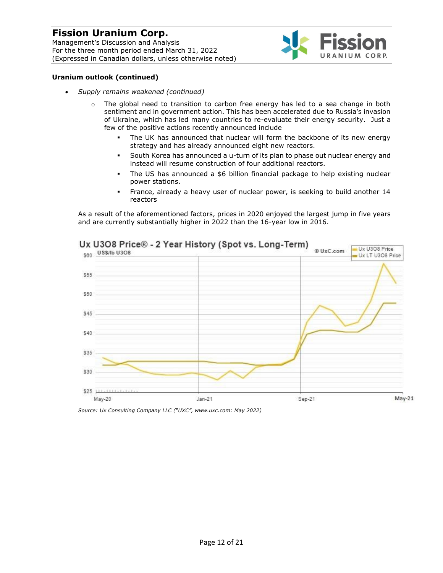Management's Discussion and Analysis For the three month period ended March 31, 2022 (Expressed in Canadian dollars, unless otherwise noted)



#### **Uranium outlook (continued)**

- *Supply remains weakened (continued)*
	- $\circ$  The global need to transition to carbon free energy has led to a sea change in both sentiment and in government action. This has been accelerated due to Russia's invasion of Ukraine, which has led many countries to re-evaluate their energy security. Just a few of the positive actions recently announced include
		- The UK has announced that nuclear will form the backbone of its new energy strategy and has already announced eight new reactors.
		- South Korea has announced a u-turn of its plan to phase out nuclear energy and instead will resume construction of four additional reactors.
		- The US has announced a  $$6$  billion financial package to help existing nuclear power stations.
		- France, already a heavy user of nuclear power, is seeking to build another 14 reactors

As a result of the aforementioned factors, prices in 2020 enjoyed the largest jump in five years and are currently substantially higher in 2022 than the 16-year low in 2016.



Ux U3O8 Price® - 2 Year History (Spot vs. Long-Term)

*Source: Ux Consulting Company LLC ("UXC", www.uxc.com: May 2022)*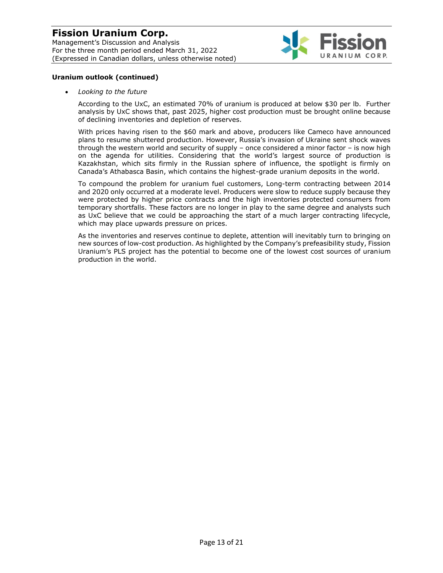Management's Discussion and Analysis For the three month period ended March 31, 2022 (Expressed in Canadian dollars, unless otherwise noted)



#### **Uranium outlook (continued)**

• *Looking to the future* 

According to the UxC, an estimated 70% of uranium is produced at below \$30 per lb. Further analysis by UxC shows that, past 2025, higher cost production must be brought online because of declining inventories and depletion of reserves.

With prices having risen to the \$60 mark and above, producers like Cameco have announced plans to resume shuttered production. However, Russia's invasion of Ukraine sent shock waves through the western world and security of supply – once considered a minor factor – is now high on the agenda for utilities. Considering that the world's largest source of production is Kazakhstan, which sits firmly in the Russian sphere of influence, the spotlight is firmly on Canada's Athabasca Basin, which contains the highest-grade uranium deposits in the world.

To compound the problem for uranium fuel customers, Long-term contracting between 2014 and 2020 only occurred at a moderate level. Producers were slow to reduce supply because they were protected by higher price contracts and the high inventories protected consumers from temporary shortfalls. These factors are no longer in play to the same degree and analysts such as UxC believe that we could be approaching the start of a much larger contracting lifecycle, which may place upwards pressure on prices.

As the inventories and reserves continue to deplete, attention will inevitably turn to bringing on new sources of low-cost production. As highlighted by the Company's prefeasibility study, Fission Uranium's PLS project has the potential to become one of the lowest cost sources of uranium production in the world.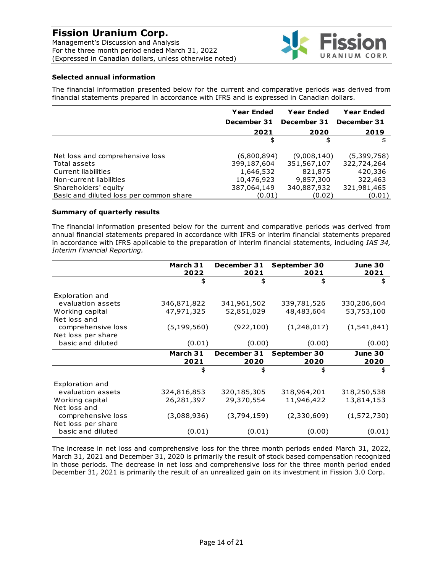Management's Discussion and Analysis For the three month period ended March 31, 2022 (Expressed in Canadian dollars, unless otherwise noted)



#### **Selected annual information**

The financial information presented below for the current and comparative periods was derived from financial statements prepared in accordance with IFRS and is expressed in Canadian dollars.

|                                         | <b>Year Ended</b> | <b>Year Ended</b> | <b>Year Ended</b> |
|-----------------------------------------|-------------------|-------------------|-------------------|
|                                         | December 31       | December 31       | December 31       |
|                                         | 2021              | 2020              | 2019              |
|                                         | \$                | \$                | \$                |
| Net loss and comprehensive loss         | (6,800,894)       | (9,008,140)       | (5,399,758)       |
| Total assets                            | 399,187,604       | 351,567,107       | 322,724,264       |
| Current liabilities                     | 1,646,532         | 821,875           | 420,336           |
| Non-current liabilities                 | 10,476,923        | 9,857,300         | 322,463           |
| Shareholders' equity                    | 387,064,149       | 340,887,932       | 321,981,465       |
| Basic and diluted loss per common share | (0.01)            | (0.02)            | (0.01)            |

#### **Summary of quarterly results**

The financial information presented below for the current and comparative periods was derived from annual financial statements prepared in accordance with IFRS or interim financial statements prepared in accordance with IFRS applicable to the preparation of interim financial statements, including *IAS 34, Interim Financial Reporting.*

|                                          | March 31      | December 31 | September 30 | June 30       |
|------------------------------------------|---------------|-------------|--------------|---------------|
|                                          | 2022          | 2021        | 2021         | 2021          |
|                                          | \$            | \$          | \$           | \$            |
| Exploration and                          |               |             |              |               |
| evaluation assets                        | 346,871,822   | 341,961,502 | 339,781,526  | 330,206,604   |
| Working capital<br>Net loss and          | 47,971,325    | 52,851,029  | 48,483,604   | 53,753,100    |
| comprehensive loss<br>Net loss per share | (5, 199, 560) | (922, 100)  | (1,248,017)  | (1, 541, 841) |
| basic and diluted                        | (0.01)        | (0.00)      | (0.00)       | (0.00)        |
|                                          | March 31      | December 31 | September 30 | June 30       |
|                                          | 2021          | 2020        | 2020         | 2020          |
|                                          | \$            | \$          | \$           | \$            |
| Exploration and                          |               |             |              |               |
| evaluation assets                        | 324,816,853   | 320,185,305 | 318,964,201  | 318,250,538   |
| Working capital<br>Net loss and          | 26,281,397    | 29,370,554  | 11,946,422   | 13,814,153    |
| comprehensive loss<br>Net loss per share | (3,088,936)   | (3,794,159) | (2,330,609)  | (1, 572, 730) |
| basic and diluted                        | (0.01)        | (0.01)      | (0.00)       | (0.01)        |

The increase in net loss and comprehensive loss for the three month periods ended March 31, 2022, March 31, 2021 and December 31, 2020 is primarily the result of stock based compensation recognized in those periods. The decrease in net loss and comprehensive loss for the three month period ended December 31, 2021 is primarily the result of an unrealized gain on its investment in Fission 3.0 Corp.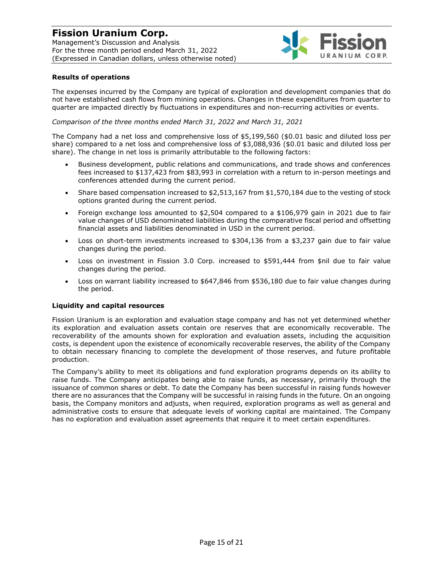Management's Discussion and Analysis For the three month period ended March 31, 2022 (Expressed in Canadian dollars, unless otherwise noted)



#### **Results of operations**

The expenses incurred by the Company are typical of exploration and development companies that do not have established cash flows from mining operations. Changes in these expenditures from quarter to quarter are impacted directly by fluctuations in expenditures and non-recurring activities or events.

#### *Comparison of the three months ended March 31, 2022 and March 31, 2021*

The Company had a net loss and comprehensive loss of \$5,199,560 (\$0.01 basic and diluted loss per share) compared to a net loss and comprehensive loss of \$3,088,936 (\$0.01 basic and diluted loss per share). The change in net loss is primarily attributable to the following factors:

- Business development, public relations and communications, and trade shows and conferences fees increased to \$137,423 from \$83,993 in correlation with a return to in-person meetings and conferences attended during the current period.
- Share based compensation increased to \$2,513,167 from \$1,570,184 due to the vesting of stock options granted during the current period.
- Foreign exchange loss amounted to \$2,504 compared to a \$106,979 gain in 2021 due to fair value changes of USD denominated liabilities during the comparative fiscal period and offsetting financial assets and liabilities denominated in USD in the current period.
- Loss on short-term investments increased to \$304,136 from a \$3,237 gain due to fair value changes during the period.
- Loss on investment in Fission 3.0 Corp. increased to \$591,444 from \$nil due to fair value changes during the period.
- Loss on warrant liability increased to \$647,846 from \$536,180 due to fair value changes during the period.

#### **Liquidity and capital resources**

Fission Uranium is an exploration and evaluation stage company and has not yet determined whether its exploration and evaluation assets contain ore reserves that are economically recoverable. The recoverability of the amounts shown for exploration and evaluation assets, including the acquisition costs, is dependent upon the existence of economically recoverable reserves, the ability of the Company to obtain necessary financing to complete the development of those reserves, and future profitable production.

The Company's ability to meet its obligations and fund exploration programs depends on its ability to raise funds. The Company anticipates being able to raise funds, as necessary, primarily through the issuance of common shares or debt. To date the Company has been successful in raising funds however there are no assurances that the Company will be successful in raising funds in the future. On an ongoing basis, the Company monitors and adjusts, when required, exploration programs as well as general and administrative costs to ensure that adequate levels of working capital are maintained. The Company has no exploration and evaluation asset agreements that require it to meet certain expenditures.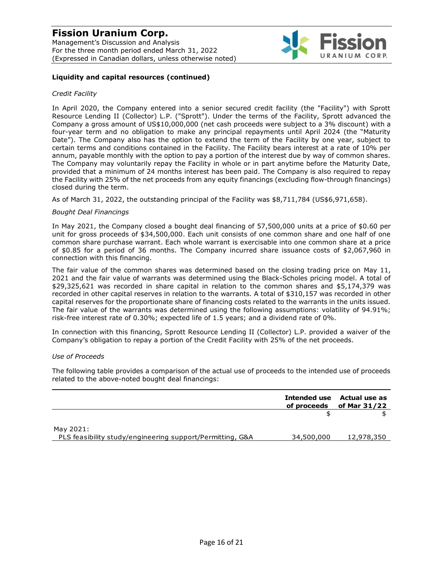

#### **Liquidity and capital resources (continued)**

#### *Credit Facility*

In April 2020, the Company entered into a senior secured credit facility (the "Facility") with Sprott Resource Lending II (Collector) L.P. ("Sprott"). Under the terms of the Facility, Sprott advanced the Company a gross amount of US\$10,000,000 (net cash proceeds were subject to a 3% discount) with a four-year term and no obligation to make any principal repayments until April 2024 (the "Maturity Date"). The Company also has the option to extend the term of the Facility by one year, subject to certain terms and conditions contained in the Facility. The Facility bears interest at a rate of 10% per annum, payable monthly with the option to pay a portion of the interest due by way of common shares. The Company may voluntarily repay the Facility in whole or in part anytime before the Maturity Date, provided that a minimum of 24 months interest has been paid. The Company is also required to repay the Facility with 25% of the net proceeds from any equity financings (excluding flow-through financings) closed during the term.

As of March 31, 2022, the outstanding principal of the Facility was \$8,711,784 (US\$6,971,658).

#### *Bought Deal Financings*

In May 2021, the Company closed a bought deal financing of 57,500,000 units at a price of \$0.60 per unit for gross proceeds of \$34,500,000. Each unit consists of one common share and one half of one common share purchase warrant. Each whole warrant is exercisable into one common share at a price of \$0.85 for a period of 36 months. The Company incurred share issuance costs of \$2,067,960 in connection with this financing.

The fair value of the common shares was determined based on the closing trading price on May 11, 2021 and the fair value of warrants was determined using the Black-Scholes pricing model. A total of \$29,325,621 was recorded in share capital in relation to the common shares and \$5,174,379 was recorded in other capital reserves in relation to the warrants. A total of \$310,157 was recorded in other capital reserves for the proportionate share of financing costs related to the warrants in the units issued. The fair value of the warrants was determined using the following assumptions: volatility of 94.91%; risk-free interest rate of 0.30%; expected life of 1.5 years; and a dividend rate of 0%.

In connection with this financing, Sprott Resource Lending II (Collector) L.P. provided a waiver of the Company's obligation to repay a portion of the Credit Facility with 25% of the net proceeds.

#### *Use of Proceeds*

The following table provides a comparison of the actual use of proceeds to the intended use of proceeds related to the above-noted bought deal financings:

|                                                           | Intended use<br>of proceeds | Actual use as<br>of Mar 31/22 |
|-----------------------------------------------------------|-----------------------------|-------------------------------|
|                                                           |                             |                               |
| May 2021:                                                 |                             |                               |
| PLS feasibility study/engineering support/Permitting, G&A | 34,500,000                  | 12,978,350                    |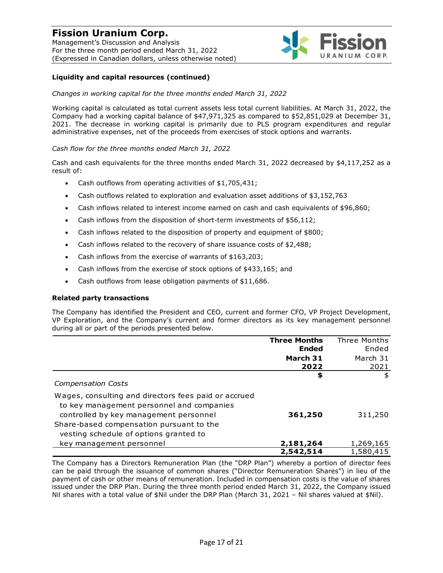

#### **Liquidity and capital resources (continued)**

*Changes in working capital for the three months ended March 31, 2022*

Working capital is calculated as total current assets less total current liabilities. At March 31, 2022, the Company had a working capital balance of \$47,971,325 as compared to \$52,851,029 at December 31, 2021. The decrease in working capital is primarily due to PLS program expenditures and regular administrative expenses, net of the proceeds from exercises of stock options and warrants.

#### *Cash flow for the three months ended March 31, 2022*

Cash and cash equivalents for the three months ended March 31, 2022 decreased by \$4,117,252 as a result of:

- Cash outflows from operating activities of \$1,705,431;
- Cash outflows related to exploration and evaluation asset additions of \$3,152,763
- Cash inflows related to interest income earned on cash and cash equivalents of \$96,860;
- Cash inflows from the disposition of short-term investments of \$56,112;
- Cash inflows related to the disposition of property and equipment of \$800;
- Cash inflows related to the recovery of share issuance costs of \$2,488;
- Cash inflows from the exercise of warrants of \$163,203;
- Cash inflows from the exercise of stock options of \$433,165; and
- Cash outflows from lease obligation payments of \$11,686.

#### **Related party transactions**

The Company has identified the President and CEO, current and former CFO, VP Project Development, VP Exploration, and the Company's current and former directors as its key management personnel during all or part of the periods presented below.

|                                                                                                                                             | <b>Three Months</b> | Three Months |
|---------------------------------------------------------------------------------------------------------------------------------------------|---------------------|--------------|
|                                                                                                                                             | <b>Ended</b>        | Ended        |
|                                                                                                                                             | March 31            | March 31     |
|                                                                                                                                             | 2022                | 2021         |
| <b>Compensation Costs</b>                                                                                                                   | \$                  | \$           |
| Wages, consulting and directors fees paid or accrued<br>to key management personnel and companies<br>controlled by key management personnel | 361,250             | 311,250      |
| Share-based compensation pursuant to the<br>vesting schedule of options granted to                                                          |                     |              |
| key management personnel                                                                                                                    | 2,181,264           | 1,269,165    |
|                                                                                                                                             | 2,542,514           | 1,580,415    |

The Company has a Directors Remuneration Plan (the "DRP Plan") whereby a portion of director fees can be paid through the issuance of common shares ("Director Remuneration Shares") in lieu of the payment of cash or other means of remuneration. Included in compensation costs is the value of shares issued under the DRP Plan. During the three month period ended March 31, 2022, the Company issued Nil shares with a total value of \$Nil under the DRP Plan (March 31, 2021 – Nil shares valued at \$Nil).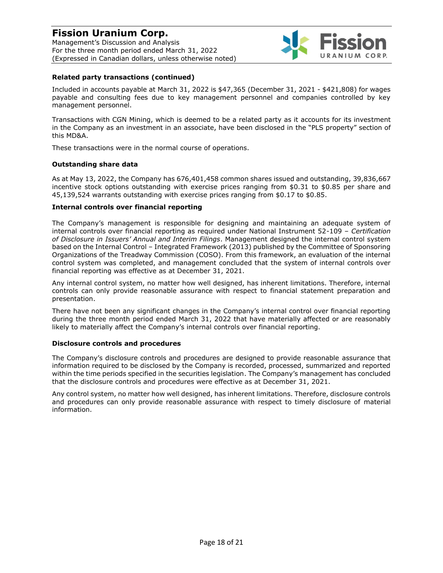Management's Discussion and Analysis For the three month period ended March 31, 2022 (Expressed in Canadian dollars, unless otherwise noted)



#### **Related party transactions (continued)**

Included in accounts payable at March 31, 2022 is \$47,365 (December 31, 2021 - \$421,808) for wages payable and consulting fees due to key management personnel and companies controlled by key management personnel.

Transactions with CGN Mining, which is deemed to be a related party as it accounts for its investment in the Company as an investment in an associate, have been disclosed in the "PLS property" section of this MD&A.

These transactions were in the normal course of operations.

#### **Outstanding share data**

As at May 13, 2022, the Company has 676,401,458 common shares issued and outstanding, 39,836,667 incentive stock options outstanding with exercise prices ranging from \$0.31 to \$0.85 per share and 45,139,524 warrants outstanding with exercise prices ranging from \$0.17 to \$0.85.

#### **Internal controls over financial reporting**

The Company's management is responsible for designing and maintaining an adequate system of internal controls over financial reporting as required under National Instrument 52-109 – *Certification of Disclosure in Issuers' Annual and Interim Filings*. Management designed the internal control system based on the Internal Control – Integrated Framework (2013) published by the Committee of Sponsoring Organizations of the Treadway Commission (COSO). From this framework, an evaluation of the internal control system was completed, and management concluded that the system of internal controls over financial reporting was effective as at December 31, 2021.

Any internal control system, no matter how well designed, has inherent limitations. Therefore, internal controls can only provide reasonable assurance with respect to financial statement preparation and presentation.

There have not been any significant changes in the Company's internal control over financial reporting during the three month period ended March 31, 2022 that have materially affected or are reasonably likely to materially affect the Company's internal controls over financial reporting.

#### **Disclosure controls and procedures**

The Company's disclosure controls and procedures are designed to provide reasonable assurance that information required to be disclosed by the Company is recorded, processed, summarized and reported within the time periods specified in the securities legislation. The Company's management has concluded that the disclosure controls and procedures were effective as at December 31, 2021.

Any control system, no matter how well designed, has inherent limitations. Therefore, disclosure controls and procedures can only provide reasonable assurance with respect to timely disclosure of material information.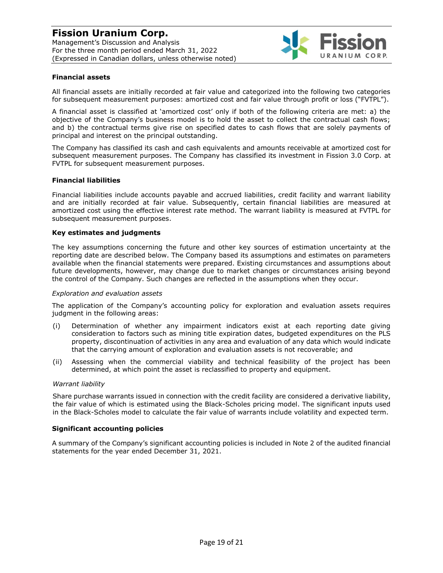

#### **Financial assets**

All financial assets are initially recorded at fair value and categorized into the following two categories for subsequent measurement purposes: amortized cost and fair value through profit or loss ("FVTPL").

A financial asset is classified at 'amortized cost' only if both of the following criteria are met: a) the objective of the Company's business model is to hold the asset to collect the contractual cash flows; and b) the contractual terms give rise on specified dates to cash flows that are solely payments of principal and interest on the principal outstanding.

The Company has classified its cash and cash equivalents and amounts receivable at amortized cost for subsequent measurement purposes. The Company has classified its investment in Fission 3.0 Corp. at FVTPL for subsequent measurement purposes.

#### **Financial liabilities**

Financial liabilities include accounts payable and accrued liabilities, credit facility and warrant liability and are initially recorded at fair value. Subsequently, certain financial liabilities are measured at amortized cost using the effective interest rate method. The warrant liability is measured at FVTPL for subsequent measurement purposes.

#### **Key estimates and judgments**

The key assumptions concerning the future and other key sources of estimation uncertainty at the reporting date are described below. The Company based its assumptions and estimates on parameters available when the financial statements were prepared. Existing circumstances and assumptions about future developments, however, may change due to market changes or circumstances arising beyond the control of the Company. Such changes are reflected in the assumptions when they occur.

#### *Exploration and evaluation assets*

The application of the Company's accounting policy for exploration and evaluation assets requires judgment in the following areas:

- (i) Determination of whether any impairment indicators exist at each reporting date giving consideration to factors such as mining title expiration dates, budgeted expenditures on the PLS property, discontinuation of activities in any area and evaluation of any data which would indicate that the carrying amount of exploration and evaluation assets is not recoverable; and
- (ii) Assessing when the commercial viability and technical feasibility of the project has been determined, at which point the asset is reclassified to property and equipment.

#### *Warrant liability*

Share purchase warrants issued in connection with the credit facility are considered a derivative liability, the fair value of which is estimated using the Black-Scholes pricing model. The significant inputs used in the Black-Scholes model to calculate the fair value of warrants include volatility and expected term.

#### **Significant accounting policies**

A summary of the Company's significant accounting policies is included in Note 2 of the audited financial statements for the year ended December 31, 2021.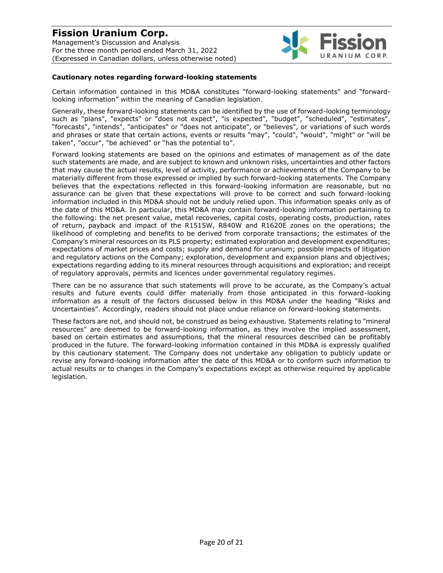

#### **Cautionary notes regarding forward-looking statements**

Certain information contained in this MD&A constitutes "forward-looking statements" and "forwardlooking information" within the meaning of Canadian legislation.

Generally, these forward-looking statements can be identified by the use of forward-looking terminology such as "plans", "expects" or "does not expect", "is expected", "budget", "scheduled", "estimates", "forecasts", "intends", "anticipates" or "does not anticipate", or "believes", or variations of such words and phrases or state that certain actions, events or results "may", "could", "would", "might" or "will be taken", "occur", "be achieved" or "has the potential to".

Forward looking statements are based on the opinions and estimates of management as of the date such statements are made, and are subject to known and unknown risks, uncertainties and other factors that may cause the actual results, level of activity, performance or achievements of the Company to be materially different from those expressed or implied by such forward-looking statements. The Company believes that the expectations reflected in this forward-looking information are reasonable, but no assurance can be given that these expectations will prove to be correct and such forward-looking information included in this MD&A should not be unduly relied upon. This information speaks only as of the date of this MD&A. In particular, this MD&A may contain forward-looking information pertaining to the following: the net present value, metal recoveries, capital costs, operating costs, production, rates of return, payback and impact of the R1515W, R840W and R1620E zones on the operations; the likelihood of completing and benefits to be derived from corporate transactions; the estimates of the Company's mineral resources on its PLS property; estimated exploration and development expenditures; expectations of market prices and costs; supply and demand for uranium; possible impacts of litigation and regulatory actions on the Company; exploration, development and expansion plans and objectives; expectations regarding adding to its mineral resources through acquisitions and exploration; and receipt of regulatory approvals, permits and licences under governmental regulatory regimes.

There can be no assurance that such statements will prove to be accurate, as the Company's actual results and future events could differ materially from those anticipated in this forward-looking information as a result of the factors discussed below in this MD&A under the heading "Risks and Uncertainties". Accordingly, readers should not place undue reliance on forward-looking statements.

These factors are not, and should not, be construed as being exhaustive. Statements relating to "mineral resources" are deemed to be forward-looking information, as they involve the implied assessment, based on certain estimates and assumptions, that the mineral resources described can be profitably produced in the future. The forward-looking information contained in this MD&A is expressly qualified by this cautionary statement. The Company does not undertake any obligation to publicly update or revise any forward-looking information after the date of this MD&A or to conform such information to actual results or to changes in the Company's expectations except as otherwise required by applicable legislation.